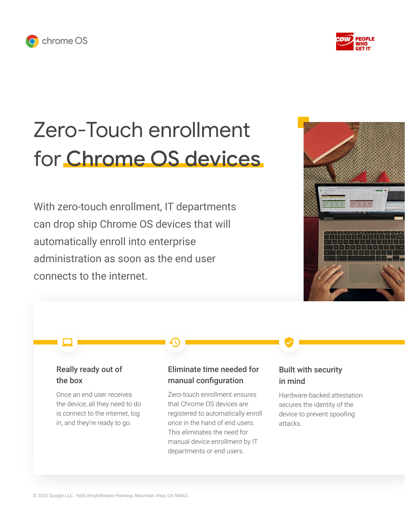



# Zero-Touch enrollment for Chrome OS devices

With zero-touch enrollment, IT departments can drop ship Chrome OS devices that will automatically enroll into enterprise administration as soon as the end user connects to the internet.



## Really ready out of the box

Once an end user receives the device, all they need to do is connect to the internet, log in, and they're ready to go.

## Eliminate time needed for manual configuration

Zero-touch enrollment ensures that Chrome OS devices are registered to automatically enroll once in the hand of end users. This eliminates the need for manual device enrollment by IT departments or end users.

## Built with security in mind

Hardware-backed attestation secures the identity of the device to prevent spoofing attacks.